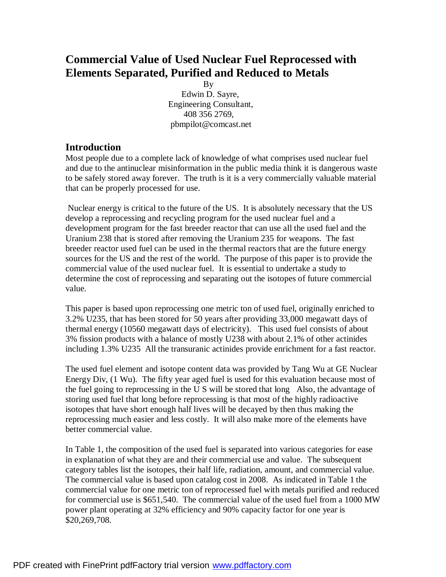# **Commercial Value of Used Nuclear Fuel Reprocessed with Elements Separated, Purified and Reduced to Metals**

By

 Edwin D. Sayre, Engineering Consultant, 408 356 2769, pbmpilot@comcast.net

## **Introduction**

Most people due to a complete lack of knowledge of what comprises used nuclear fuel and due to the antinuclear misinformation in the public media think it is dangerous waste to be safely stored away forever. The truth is it is a very commercially valuable material that can be properly processed for use.

Nuclear energy is critical to the future of the US. It is absolutely necessary that the US develop a reprocessing and recycling program for the used nuclear fuel and a development program for the fast breeder reactor that can use all the used fuel and the Uranium 238 that is stored after removing the Uranium 235 for weapons. The fast breeder reactor used fuel can be used in the thermal reactors that are the future energy sources for the US and the rest of the world. The purpose of this paper is to provide the commercial value of the used nuclear fuel. It is essential to undertake a study to determine the cost of reprocessing and separating out the isotopes of future commercial value.

This paper is based upon reprocessing one metric ton of used fuel, originally enriched to 3.2% U235, that has been stored for 50 years after providing 33,000 megawatt days of thermal energy (10560 megawatt days of electricity). This used fuel consists of about 3% fission products with a balance of mostly U238 with about 2.1% of other actinides including 1.3% U235 All the transuranic actinides provide enrichment for a fast reactor.

The used fuel element and isotope content data was provided by Tang Wu at GE Nuclear Energy Div, (1 Wu). The fifty year aged fuel is used for this evaluation because most of the fuel going to reprocessing in the U S will be stored that long Also, the advantage of storing used fuel that long before reprocessing is that most of the highly radioactive isotopes that have short enough half lives will be decayed by then thus making the reprocessing much easier and less costly. It will also make more of the elements have better commercial value.

In Table 1, the composition of the used fuel is separated into various categories for ease in explanation of what they are and their commercial use and value. The subsequent category tables list the isotopes, their half life, radiation, amount, and commercial value. The commercial value is based upon catalog cost in 2008. As indicated in Table 1 the commercial value for one metric ton of reprocessed fuel with metals purified and reduced for commercial use is \$651,540. The commercial value of the used fuel from a 1000 MW power plant operating at 32% efficiency and 90% capacity factor for one year is \$20,269,708.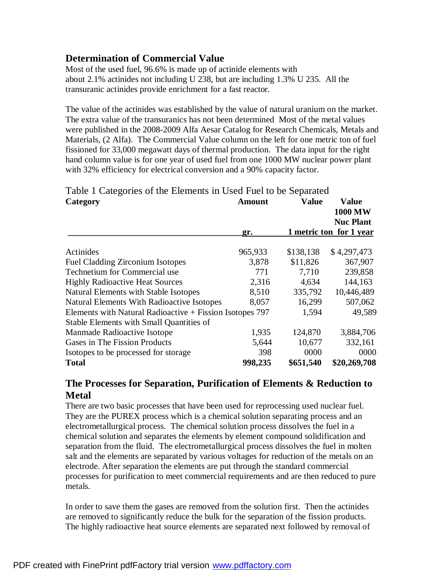## **Determination of Commercial Value**

Most of the used fuel, 96.6% is made up of actinide elements with about 2.1% actinides not including U 238, but are including 1.3% U 235. All the transuranic actinides provide enrichment for a fast reactor.

The value of the actinides was established by the value of natural uranium on the market. The extra value of the transuranics has not been determined Most of the metal values were published in the 2008-2009 Alfa Aesar Catalog for Research Chemicals, Metals and Materials, (2 Alfa). The Commercial Value column on the left for one metric ton of fuel fissioned for 33,000 megawatt days of thermal production. The data input for the right hand column value is for one year of used fuel from one 1000 MW nuclear power plant with 32% efficiency for electrical conversion and a 90% capacity factor.

Table 1 Categories of the Elements in Used Fuel to be Separated

| Category                                                 | Amount  | <b>Value</b> | <b>Value</b><br><b>1000 MW</b><br><b>Nuc Plant</b> |
|----------------------------------------------------------|---------|--------------|----------------------------------------------------|
|                                                          | gr.     |              | 1 metric ton for 1 year                            |
| Actinides                                                | 965,933 | \$138,138    | \$4,297,473                                        |
| <b>Fuel Cladding Zirconium Isotopes</b>                  | 3,878   | \$11,826     | 367,907                                            |
| Technetium for Commercial use                            | 771     | 7,710        | 239,858                                            |
| <b>Highly Radioactive Heat Sources</b>                   | 2,316   | 4,634        | 144,163                                            |
| <b>Natural Elements with Stable Isotopes</b>             | 8,510   | 335,792      | 10,446,489                                         |
| <b>Natural Elements With Radioactive Isotopes</b>        | 8,057   | 16,299       | 507,062                                            |
| Elements with Natural Radioactive + Fission Isotopes 797 |         | 1,594        | 49,589                                             |
| <b>Stable Elements with Small Quantities of</b>          |         |              |                                                    |
| Manmade Radioactive Isotope                              | 1,935   | 124,870      | 3,884,706                                          |
| Gases in The Fission Products                            | 5,644   | 10,677       | 332,161                                            |
| Isotopes to be processed for storage                     | 398     | 0000         | 0000                                               |
| <b>Total</b>                                             | 998,235 | \$651,540    | \$20,269,708                                       |

## **The Processes for Separation, Purification of Elements & Reduction to Metal**

There are two basic processes that have been used for reprocessing used nuclear fuel. They are the PUREX process which is a chemical solution separating process and an electrometallurgical process. The chemical solution process dissolves the fuel in a chemical solution and separates the elements by element compound solidification and separation from the fluid. The electrometallurgical process dissolves the fuel in molten salt and the elements are separated by various voltages for reduction of the metals on an electrode. After separation the elements are put through the standard commercial processes for purification to meet commercial requirements and are then reduced to pure metals.

In order to save them the gases are removed from the solution first. Then the actinides are removed to significantly reduce the bulk for the separation of the fission products. The highly radioactive heat source elements are separated next followed by removal of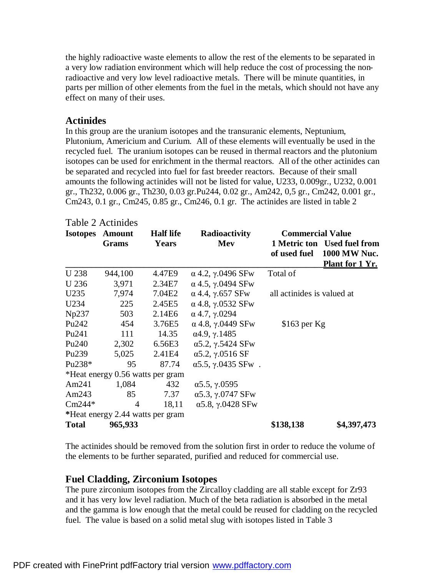the highly radioactive waste elements to allow the rest of the elements to be separated in a very low radiation environment which will help reduce the cost of processing the nonradioactive and very low level radioactive metals. There will be minute quantities, in parts per million of other elements from the fuel in the metals, which should not have any effect on many of their uses.

### **Actinides**

In this group are the uranium isotopes and the transuranic elements, Neptunium, Plutonium, Americium and Curium. All of these elements will eventually be used in the recycled fuel. The uranium isotopes can be reused in thermal reactors and the plutonium isotopes can be used for enrichment in the thermal reactors. All of the other actinides can be separated and recycled into fuel for fast breeder reactors. Because of their small amounts the following actinides will not be listed for value, U233, 0.009gr., U232, 0.001 gr., Th232, 0.006 gr., Th230, 0.03 gr.Pu244, 0.02 gr., Am242, 0,5 gr., Cm242, 0.001 gr., Cm243, 0.1 gr., Cm245, 0.85 gr., Cm246, 0.1 gr. The actinides are listed in table 2

| <b>Isotopes</b>   | <b>Amount</b><br>Grams           | <b>Half</b> life<br>Years | Radioactivity<br>Mev              | <b>Commercial Value</b>    | 1 Metric ton Used fuel from<br>of used fuel 1000 MW Nuc.<br>Plant for 1 Yr. |
|-------------------|----------------------------------|---------------------------|-----------------------------------|----------------------------|-----------------------------------------------------------------------------|
| U 238             | 944,100                          | 4.47E9                    | $\alpha$ 4.2, $\gamma$ .0496 SFw  | Total of                   |                                                                             |
| U 236             | 3,971                            | 2.34E7                    | $\alpha$ 4.5, $\gamma$ .0494 SFw  |                            |                                                                             |
| U235              | 7,974                            | 7.04E2                    | $\alpha$ 4.4, $\gamma$ .657 SFw   | all actinides is valued at |                                                                             |
| U234              | 225                              | 2.45E5                    | $\alpha$ 4.8, $\gamma$ .0532 SFw  |                            |                                                                             |
| Np237             | 503                              | 2.14E <sub>6</sub>        | $\alpha$ 4.7, $\gamma$ .0294      |                            |                                                                             |
| Pu242             | 454                              | 3.76E5                    | $\alpha$ 4.8, $\gamma$ .0449 SFw  | $$163$ per Kg              |                                                                             |
| Pu <sub>241</sub> | 111                              | 14.35                     | $\alpha$ 4.9, $\gamma$ .1485      |                            |                                                                             |
| Pu <sub>240</sub> |                                  | 2,302 6.56E3              | $\alpha$ 5.2, $\gamma$ .5424 SFw  |                            |                                                                             |
| Pu <sub>239</sub> | 5,025                            | 2.41E4                    | $\alpha$ 5.2, $\gamma$ .0516 SF   |                            |                                                                             |
| Pu238 $*$         | 95                               | 87.74                     | $\alpha$ 5.5, $\gamma$ .0435 SFw. |                            |                                                                             |
|                   | *Heat energy 0.56 watts per gram |                           |                                   |                            |                                                                             |
| Am $241$          | 1,084                            | 432                       | $\alpha$ 5.5, $\gamma$ .0595      |                            |                                                                             |
| Am $243$          | 85                               | 7.37                      | $\alpha$ 5.3, $\gamma$ .0747 SFw  |                            |                                                                             |
| $Cm244*$          | $\overline{4}$                   | 18,11                     | $\alpha$ 5.8, $\gamma$ .0428 SFw  |                            |                                                                             |
|                   | *Heat energy 2.44 watts per gram |                           |                                   |                            |                                                                             |
| <b>Total</b>      | 965,933                          |                           |                                   | \$138,138                  | \$4,397,473                                                                 |

#### Table 2 Actinides

The actinides should be removed from the solution first in order to reduce the volume of the elements to be further separated, purified and reduced for commercial use.

## **Fuel Cladding, Zirconium Isotopes**

The pure zirconium isotopes from the Zircalloy cladding are all stable except for Zr93 and it has very low level radiation. Much of the beta radiation is absorbed in the metal and the gamma is low enough that the metal could be reused for cladding on the recycled fuel. The value is based on a solid metal slug with isotopes listed in Table 3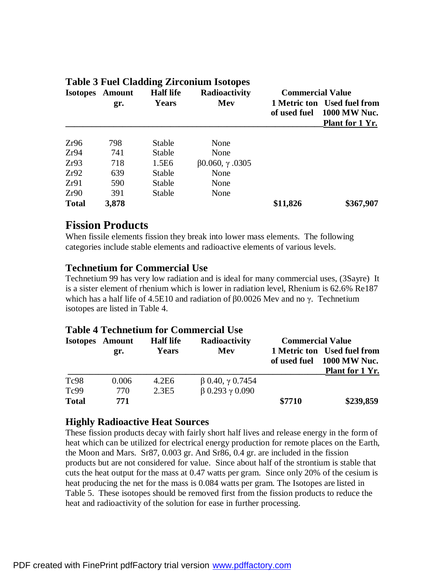## **Table 3 Fuel Cladding Zirconium Isotopes Isotopes Amount Half life Radioactivity Commercial Value gr. Years Mev 1 Metric ton Used fuel from of used fuel 1000 MW Nuc. \_\_\_\_\_\_\_\_\_\_\_\_\_\_\_\_\_\_\_\_\_\_\_\_\_\_\_\_\_\_\_\_\_\_\_\_\_\_\_\_\_\_\_\_\_\_\_\_\_\_\_\_\_\_\_\_\_\_\_Plant for 1 Yr.**  Zr96 798 Stable None Zr94 741 Stable None Zr93 718 1.5E6 β0.060, γ .0305 Zr92 639 Stable None Zr91 590 Stable None Zr90 391 Stable None **Total 3,878 \$11,826 \$367,907**

# **Fission Products**

When fissile elements fission they break into lower mass elements. The following categories include stable elements and radioactive elements of various levels.

## **Technetium for Commercial Use**

Technetium 99 has very low radiation and is ideal for many commercial uses, (3Sayre) It is a sister element of rhenium which is lower in radiation level, Rhenium is 62.6% Re187 which has a half life of 4.5E10 and radiation of  $\beta$ 0.0026 Mev and no γ. Technetium isotopes are listed in Table 4.

## **Table 4 Technetium for Commercial Use**

|              | <b>Isotopes</b> Amount | <b>Half life</b> | <b>Radioactivity</b>          | <b>Commercial Value</b> |                                                                              |  |
|--------------|------------------------|------------------|-------------------------------|-------------------------|------------------------------------------------------------------------------|--|
|              | gr.                    | <b>Years</b>     | Mev                           | of used fuel            | 1 Metric ton Used fuel from<br><b>1000 MW Nuc.</b><br><b>Plant for 1 Yr.</b> |  |
| Tc98         | 0.006                  | 4.2E6            | $\beta$ 0.40, $\gamma$ 0.7454 |                         |                                                                              |  |
| Tc99         | 770                    | 2.3E5            | $\beta$ 0.293 $\gamma$ 0.090  |                         |                                                                              |  |
| <b>Total</b> | 771                    |                  |                               | \$7710                  | \$239,859                                                                    |  |

## **Highly Radioactive Heat Sources**

These fission products decay with fairly short half lives and release energy in the form of heat which can be utilized for electrical energy production for remote places on the Earth, the Moon and Mars. Sr87, 0.003 gr. And Sr86, 0.4 gr. are included in the fission products but are not considered for value. Since about half of the strontium is stable that cuts the heat output for the mass at 0.47 watts per gram. Since only 20% of the cesium is heat producing the net for the mass is 0.084 watts per gram. The Isotopes are listed in Table 5. These isotopes should be removed first from the fission products to reduce the heat and radioactivity of the solution for ease in further processing.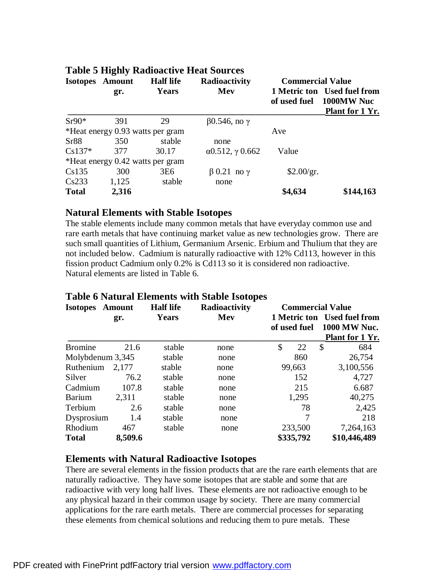|              |                        |                                  | Table 5 Highly Radioactive Heat Sources |                         |                                                              |  |  |
|--------------|------------------------|----------------------------------|-----------------------------------------|-------------------------|--------------------------------------------------------------|--|--|
|              | <b>Isotopes</b> Amount | <b>Half</b> life                 | <b>Radioactivity</b>                    | <b>Commercial Value</b> |                                                              |  |  |
|              | gr.                    | Years                            | Mev                                     | of used fuel            | 1 Metric ton Used fuel from<br>1000MW Nuc<br>Plant for 1 Yr. |  |  |
| $Sr90*$      | 391                    | 29                               | $\beta$ 0.546, no $\gamma$              |                         |                                                              |  |  |
|              |                        | *Heat energy 0.93 watts per gram |                                         | Ave                     |                                                              |  |  |
| Sr88         | 350                    | stable                           | none                                    |                         |                                                              |  |  |
| $Cs137*$     | 377                    | 30.17                            | $\alpha$ 0.512, $\gamma$ 0.662          | Value                   |                                                              |  |  |
|              |                        | *Heat energy 0.42 watts per gram |                                         |                         |                                                              |  |  |
| Cs135        | 300                    | 3E <sub>6</sub>                  | $\beta$ 0.21 no $\gamma$                | \$2.00/gr.              |                                                              |  |  |
| Cs233        | 1,125                  | stable                           | none                                    |                         |                                                              |  |  |
| <b>Total</b> | 2,316                  |                                  |                                         | \$4,634                 | \$144,163                                                    |  |  |

# **Natural Elements with Stable Isotopes**

**Table 5 Highly Radioactive Heat Sources**

The stable elements include many common metals that have everyday common use and rare earth metals that have continuing market value as new technologies grow. There are such small quantities of Lithium, Germanium Arsenic. Erbium and Thulium that they are not included below. Cadmium is naturally radioactive with 12% Cd113, however in this fission product Cadmium only 0.2% is Cd113 so it is considered non radioactive. Natural elements are listed in Table 6.

| <b>Isotopes</b> Amount |         | <b>Half</b> life | Radioactivity |              | <b>Commercial Value</b>                                               |  |
|------------------------|---------|------------------|---------------|--------------|-----------------------------------------------------------------------|--|
|                        | gr.     | Years            | Mev           | of used fuel | 1 Metric ton Used fuel from<br><b>1000 MW Nuc.</b><br>Plant for 1 Yr. |  |
| <b>Bromine</b>         | 21.6    | stable           | none          | \$<br>22     | \$<br>684                                                             |  |
| Molybdenum 3,345       |         | stable           | none          | 860          | 26,754                                                                |  |
| Ruthenium 2,177        |         | stable           | none          | 99,663       | 3,100,556                                                             |  |
| Silver                 | 76.2    | stable           | none          | 152          | 4,727                                                                 |  |
| Cadmium                | 107.8   | stable           | none          | 215          | 6.687                                                                 |  |
| Barium                 | 2,311   | stable           | none          | 1,295        | 40,275                                                                |  |
| Terbium                | 2.6     | stable           | none          | 78           | 2,425                                                                 |  |
| Dysprosium             | 1.4     | stable           | none          | 7            | 218                                                                   |  |
| Rhodium                | 467     | stable           | none          | 233,500      | 7,264,163                                                             |  |
| <b>Total</b>           | 8,509.6 |                  |               | \$335,792    | \$10,446,489                                                          |  |

## **Table 6 Natural Elements with Stable Isotopes**

### **Elements with Natural Radioactive Isotopes**

There are several elements in the fission products that are the rare earth elements that are naturally radioactive. They have some isotopes that are stable and some that are radioactive with very long half lives. These elements are not radioactive enough to be any physical hazard in their common usage by society. There are many commercial applications for the rare earth metals. There are commercial processes for separating these elements from chemical solutions and reducing them to pure metals. These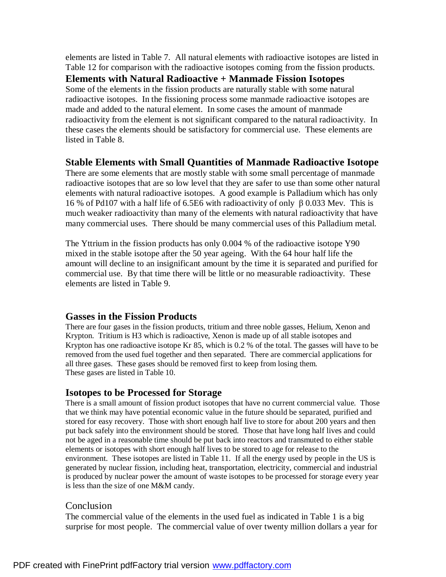elements are listed in Table 7. All natural elements with radioactive isotopes are listed in Table 12 for comparison with the radioactive isotopes coming from the fission products. **Elements with Natural Radioactive + Manmade Fission Isotopes** Some of the elements in the fission products are naturally stable with some natural radioactive isotopes. In the fissioning process some manmade radioactive isotopes are made and added to the natural element. In some cases the amount of manmade radioactivity from the element is not significant compared to the natural radioactivity. In these cases the elements should be satisfactory for commercial use. These elements are listed in Table 8.

### **Stable Elements with Small Quantities of Manmade Radioactive Isotope**

There are some elements that are mostly stable with some small percentage of manmade radioactive isotopes that are so low level that they are safer to use than some other natural elements with natural radioactive isotopes. A good example is Palladium which has only 16 % of Pd107 with a half life of 6.5E6 with radioactivity of only β 0.033 Mev. This is much weaker radioactivity than many of the elements with natural radioactivity that have many commercial uses. There should be many commercial uses of this Palladium metal.

The Yttrium in the fission products has only 0.004 % of the radioactive isotope Y90 mixed in the stable isotope after the 50 year ageing. With the 64 hour half life the amount will decline to an insignificant amount by the time it is separated and purified for commercial use. By that time there will be little or no measurable radioactivity. These elements are listed in Table 9.

### **Gasses in the Fission Products**

There are four gases in the fission products, tritium and three noble gasses, Helium, Xenon and Krypton. Tritium is H3 which is radioactive, Xenon is made up of all stable isotopes and Krypton has one radioactive isotope Kr 85, which is 0.2 % of the total. The gasses will have to be removed from the used fuel together and then separated. There are commercial applications for all three gases. These gases should be removed first to keep from losing them. These gases are listed in Table 10.

## **Isotopes to be Processed for Storage**

There is a small amount of fission product isotopes that have no current commercial value. Those that we think may have potential economic value in the future should be separated, purified and stored for easy recovery. Those with short enough half live to store for about 200 years and then put back safely into the environment should be stored. Those that have long half lives and could not be aged in a reasonable time should be put back into reactors and transmuted to either stable elements or isotopes with short enough half lives to be stored to age for release to the environment. These isotopes are listed in Table 11. If all the energy used by people in the US is generated by nuclear fission, including heat, transportation, electricity, commercial and industrial is produced by nuclear power the amount of waste isotopes to be processed for storage every year is less than the size of one M&M candy.

### Conclusion

The commercial value of the elements in the used fuel as indicated in Table 1 is a big surprise for most people. The commercial value of over twenty million dollars a year for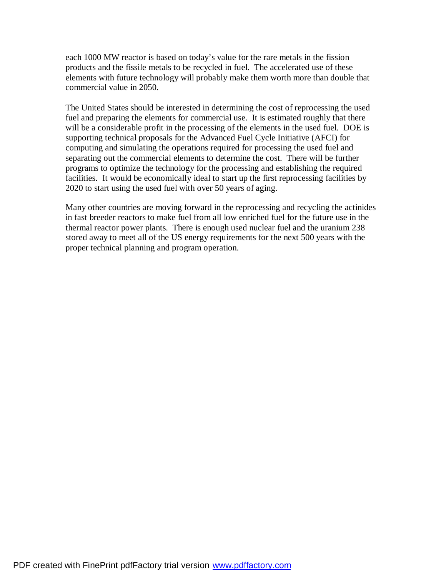each 1000 MW reactor is based on today's value for the rare metals in the fission products and the fissile metals to be recycled in fuel. The accelerated use of these elements with future technology will probably make them worth more than double that commercial value in 2050.

The United States should be interested in determining the cost of reprocessing the used fuel and preparing the elements for commercial use. It is estimated roughly that there will be a considerable profit in the processing of the elements in the used fuel. DOE is supporting technical proposals for the Advanced Fuel Cycle Initiative (AFCI) for computing and simulating the operations required for processing the used fuel and separating out the commercial elements to determine the cost. There will be further programs to optimize the technology for the processing and establishing the required facilities. It would be economically ideal to start up the first reprocessing facilities by 2020 to start using the used fuel with over 50 years of aging.

Many other countries are moving forward in the reprocessing and recycling the actinides in fast breeder reactors to make fuel from all low enriched fuel for the future use in the thermal reactor power plants. There is enough used nuclear fuel and the uranium 238 stored away to meet all of the US energy requirements for the next 500 years with the proper technical planning and program operation.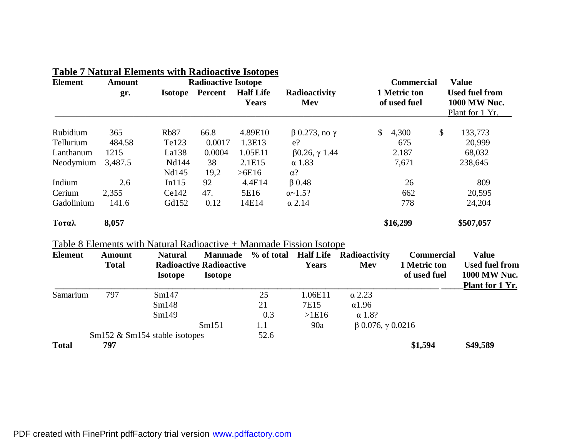| <b>Element</b> | <b>Amount</b> | <b>Radioactive Isotope</b> |                |                           | <b>Commercial</b>           | <b>Value</b>                 |                                                                 |
|----------------|---------------|----------------------------|----------------|---------------------------|-----------------------------|------------------------------|-----------------------------------------------------------------|
|                | gr.           | <b>Isotope</b>             | <b>Percent</b> | <b>Half Life</b><br>Years | Radioactivity<br>Mev        | 1 Metric ton<br>of used fuel | <b>Used fuel from</b><br><b>1000 MW Nuc.</b><br>Plant for 1 Yr. |
| Rubidium       | 365           | Rb <sub>87</sub>           | 66.8           | 4.89E10                   | $\beta$ 0.273, no $\gamma$  | \$<br>4,300                  | \$<br>133,773                                                   |
| Tellurium      | 484.58        | Te123                      | 0.0017         | 1.3E13                    | $e$ ?                       | 675                          | 20,999                                                          |
| Lanthanum      | 1215          | La138                      | 0.0004         | 1.05E11                   | $\beta$ 0.26, $\gamma$ 1.44 | 2.187                        | 68,032                                                          |
| Neodymium      | 3,487.5       | Nd144                      | 38             | 2.1E15                    | $\alpha$ 1.83               | 7,671                        | 238,645                                                         |
|                |               | Nd145                      | 19,2           | >6E16                     | $\alpha$ ?                  |                              |                                                                 |
| Indium         | 2.6           | In115                      | 92             | 4.4E14                    | $\beta$ 0.48                | 26                           | 809                                                             |
| Cerium         | 2,355         | Ce142                      | 47.            | 5E16                      | $\alpha$ - 1.5?             | 662                          | 20,595                                                          |
| Gadolinium     | 141.6         | Gd152                      | 0.12           | 14E14                     | $\alpha$ 2.14               | 778                          | 24,204                                                          |
| Τοταλ          | 8,057         |                            |                |                           |                             | \$16,299                     | \$507,057                                                       |

## **Table 7 Natural Elements with Radioactive Isotopes**

# Table 8 Elements with Natural Radioactive + Manmade Fission Isotope

| <b>Element</b> | <b>Amount</b><br><b>Total</b> | <b>Natural</b><br><b>Isotope</b> | <b>Manmade</b><br><b>Radioactive Radioactive</b><br><b>Isotope</b> |      | <b>Years</b> | % of total Half Life Radioactivity<br>Mev | <b>Commercial</b><br>1 Metric ton<br>of used fuel | <b>Value</b><br><b>Used fuel from</b><br><b>1000 MW Nuc.</b><br>Plant for 1 Yr. |
|----------------|-------------------------------|----------------------------------|--------------------------------------------------------------------|------|--------------|-------------------------------------------|---------------------------------------------------|---------------------------------------------------------------------------------|
| Samarium       | 797                           | Sm147                            |                                                                    | 25   | 1.06E11      | $\alpha$ 2.23                             |                                                   |                                                                                 |
|                |                               | Sm148                            |                                                                    | 21   | 7E15         | $\alpha$ 1.96                             |                                                   |                                                                                 |
|                |                               | Sm149                            |                                                                    | 0.3  | >1E16        | $\alpha$ 1.8?                             |                                                   |                                                                                 |
|                |                               |                                  | Sm151                                                              | 1.1  | 90a          | $\beta$ 0.076, $\gamma$ 0.0216            |                                                   |                                                                                 |
|                |                               | $Sm152 \& Sm154$ stable isotopes |                                                                    | 52.6 |              |                                           |                                                   |                                                                                 |
| <b>Total</b>   | 797                           |                                  |                                                                    |      |              |                                           | \$1,594                                           | \$49,589                                                                        |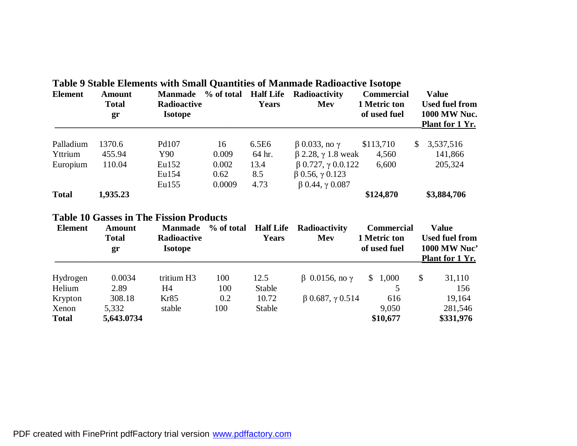| <b>Element</b>                   | <b>Amount</b><br><b>Total</b><br>gr            | Radioactive<br><b>Isotope</b>                   |                         | <b>Years</b>                     | Dimole Enthronio with Dhimit Quantititity of Mammade Thambach to Tootope<br>Manmade % of total Half Life Radioactivity<br>Mev | <b>Commercial</b><br>1 Metric ton<br>of used fuel | <b>Value</b><br><b>Used fuel from</b><br>1000 MW Nuc.<br>Plant for 1 Yr.        |
|----------------------------------|------------------------------------------------|-------------------------------------------------|-------------------------|----------------------------------|-------------------------------------------------------------------------------------------------------------------------------|---------------------------------------------------|---------------------------------------------------------------------------------|
| Palladium<br>Yttrium             | 1370.6<br>455.94                               | Pd107<br>Y90                                    | 16<br>0.009             | 6.5E6<br>64 hr.                  | $\beta$ 0.033, no $\gamma$<br>$\beta$ 2.28, $\gamma$ 1.8 weak                                                                 | \$113,710<br>4,560                                | 3,537,516<br>$\mathbb{S}$<br>141,866                                            |
| Europium                         | 110.04                                         | Eu152<br>Eu154<br>Eu155                         | 0.002<br>0.62<br>0.0009 | 13.4<br>8.5<br>4.73              | $\beta$ 0.727, $\gamma$ 0.0.122<br>$\beta$ 0.56, $\gamma$ 0.123<br>$\beta$ 0.44, $\gamma$ 0.087                               | 6,600                                             | 205,324                                                                         |
| <b>Total</b>                     | 1,935.23                                       |                                                 |                         |                                  |                                                                                                                               | \$124,870                                         | \$3,884,706                                                                     |
|                                  | <b>Table 10 Gasses in The Fission Products</b> |                                                 |                         |                                  |                                                                                                                               |                                                   |                                                                                 |
| <b>Element</b>                   | <b>Amount</b><br><b>Total</b><br>gr            | <b>Manmade</b><br>Radioactive<br><b>Isotope</b> | % of total              | <b>Half Life</b><br><b>Years</b> | Radioactivity<br>Mev                                                                                                          | <b>Commercial</b><br>1 Metric ton<br>of used fuel | <b>Value</b><br><b>Used fuel from</b><br><b>1000 MW Nuc'</b><br>Plant for 1 Yr. |
| Hydrogen<br>Helium               | 0.0034<br>2.89                                 | tritium H3<br>H4                                | 100<br>100              | 12.5<br>Stable                   | $β$ 0.0156, no γ                                                                                                              | \$1,000<br>5                                      | $\mathcal{S}$<br>31,110<br>156                                                  |
| Krypton<br>Xenon<br><b>Total</b> | 308.18<br>5,332<br>5,643.0734                  | Kr85<br>stable                                  | 0.2<br>100              | 10.72<br>Stable                  | $\beta$ 0.687, $\gamma$ 0.514                                                                                                 | 616<br>9,050<br>\$10,677                          | 19,164<br>281,546<br>\$331,976                                                  |

# **Table 9 Stable Elements with Small Quantities of Manmade Radioactive Isotope**

PDF created with FinePrint pdfFactory trial version [www.pdffactory.com](http://www.pdffactory.com)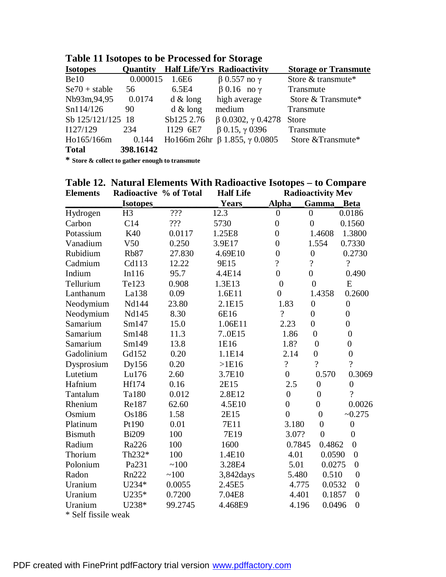| <b>Isotopes</b>   | <b>Quantity</b> |             | <b>Half Life/Yrs Radioactivity</b>         | <b>Storage or Transmute</b> |
|-------------------|-----------------|-------------|--------------------------------------------|-----------------------------|
| Be10              | 0.000015        | 1.6E6       | $β$ 0.557 no γ                             | Store & transmute*          |
| $Se70 + stable$   | 56              | 6.5E4       | $\beta$ 0.16 no $\gamma$                   | Transmute                   |
| Nb93m,94,95       | 0.0174          | $d \&$ long | high average                               | Store & Transmute*          |
| Sn114/126         | 90              | $d \&$ long | medium                                     | Transmute                   |
| Sb 125/121/125 18 |                 | Sb125 2.76  | $\beta$ 0.0302, $\gamma$ 0.4278            | <b>Store</b>                |
| I127/129          | 234             | I129 6E7    | $\beta$ 0.15, $\gamma$ 0396                | Transmute                   |
| Ho165/166m        | 0.144           |             | Ho166m 26hr $\beta$ 1.855, $\gamma$ 0.0805 | Store & Transmute*          |
| <b>Total</b>      | 398.16142       |             |                                            |                             |

**Table 11 Isotopes to be Processed for Storage**

**\* Store & collect to gather enough to transmute**

|                     |                        |         | Table 12. Natural Elements With Radioactive Isotopes - to Compare |                          |                          |                          |
|---------------------|------------------------|---------|-------------------------------------------------------------------|--------------------------|--------------------------|--------------------------|
| <b>Elements</b>     | Radioactive % of Total |         | <b>Half Life</b>                                                  |                          | <b>Radioactivity Mev</b> |                          |
|                     | <b>Isotopes</b>        |         | <b>Years</b>                                                      | <u>Alpha</u>             | <b>Gamma</b>             | Beta                     |
| Hydrogen            | H <sub>3</sub>         | ???     | 12.3                                                              | $\overline{0}$           | $\overline{0}$           | 0.0186                   |
| Carbon              | C14                    | ???     | 5730                                                              | $\overline{0}$           | $\overline{0}$           | 0.1560                   |
| Potassium           | K40                    | 0.0117  | 1.25E8                                                            | $\overline{0}$           | 1.4608                   | 1.3800                   |
| Vanadium            | V50                    | 0.250   | 3.9E17                                                            | $\overline{0}$           | 1.554                    | 0.7330                   |
| Rubidium            | <b>Rb87</b>            | 27.830  | 4.69E10                                                           | $\boldsymbol{0}$         | $\boldsymbol{0}$         | 0.2730                   |
| Cadmium             | Cd113                  | 12.22   | 9E15                                                              | $\overline{?}$           | $\overline{\mathcal{L}}$ | $\overline{\mathcal{L}}$ |
| Indium              | In116                  | 95.7    | 4.4E14                                                            | $\boldsymbol{0}$         | $\overline{0}$           | 0.490                    |
| Tellurium           | Te123                  | 0.908   | 1.3E13                                                            | $\boldsymbol{0}$         | $\overline{0}$           | E                        |
| Lanthanum           | La138                  | 0.09    | 1.6E11                                                            | $\overline{0}$           | 1.4358                   | 0.2600                   |
| Neodymium           | Nd144                  | 23.80   | 2.1E15                                                            | 1.83                     | $\boldsymbol{0}$         | $\boldsymbol{0}$         |
| Neodymium           | Nd145                  | 8.30    | 6E16                                                              | $\overline{\mathcal{L}}$ | $\boldsymbol{0}$         | $\overline{0}$           |
| Samarium            | Sm147                  | 15.0    | 1.06E11                                                           | 2.23                     | $\overline{0}$           | $\overline{0}$           |
| Samarium            | Sm148                  | 11.3    | 7.0E15                                                            | 1.86                     | $\overline{0}$           | $\overline{0}$           |
| Samarium            | Sm149                  | 13.8    | 1E16                                                              | 1.8?                     | $\boldsymbol{0}$         | $\boldsymbol{0}$         |
| Gadolinium          | Gd152                  | 0.20    | 1.1E14                                                            | 2.14                     | $\overline{0}$           | $\overline{0}$           |
| Dysprosium          | Dy156                  | 0.20    | $>1E16$                                                           | $\overline{\mathcal{L}}$ | $\overline{?}$           | $\overline{?}$           |
| Lutetium            | Lu176                  | 2.60    | 3.7E10                                                            | $\overline{0}$           | 0.570                    | 0.3069                   |
| Hafnium             | Hf174                  | 0.16    | 2E15                                                              | 2.5                      | $\overline{0}$           | $\overline{0}$           |
| Tantalum            | Ta180                  | 0.012   | 2.8E12                                                            | $\boldsymbol{0}$         | $\overline{0}$           | $\gamma$                 |
| Rhenium             | Re187                  | 62.60   | 4.5E10                                                            | $\boldsymbol{0}$         | $\overline{0}$           | 0.0026                   |
| Osmium              | Os186                  | 1.58    | 2E15                                                              | $\overline{0}$           | $\overline{0}$           | $-0.275$                 |
| Platinum            | Pt190                  | 0.01    | 7E11                                                              | 3.180                    | $\boldsymbol{0}$         | $\boldsymbol{0}$         |
| <b>Bismuth</b>      | <b>Bi209</b>           | 100     | 7E19                                                              | 3.07?                    | $\overline{0}$           | $\overline{0}$           |
| Radium              | Ra226                  | 100     | 1600                                                              | 0.7845                   | 0.4862                   | $\overline{0}$           |
| Thorium             | Th232*                 | 100     | 1.4E10                                                            | 4.01                     | 0.0590                   | $\boldsymbol{0}$         |
| Polonium            | Pa231                  | ~100    | 3.28E4                                                            | 5.01                     | 0.0275                   | $\overline{0}$           |
| Radon               | Rn222                  | ~100    | 3,842 days                                                        | 5.480                    | 0.510                    | $\overline{0}$           |
| Uranium             | U234*                  | 0.0055  | 2.45E5                                                            | 4.775                    | 0.0532                   | $\boldsymbol{0}$         |
| Uranium             | U235*                  | 0.7200  | 7.04E8                                                            | 4.401                    | 0.1857                   | $\overline{0}$           |
| Uranium             | U238*                  | 99.2745 | 4.468E9                                                           | 4.196                    | 0.0496                   | $\overline{0}$           |
| * Self fissile weak |                        |         |                                                                   |                          |                          |                          |

PDF created with FinePrint pdfFactory trial version [www.pdffactory.com](http://www.pdffactory.com)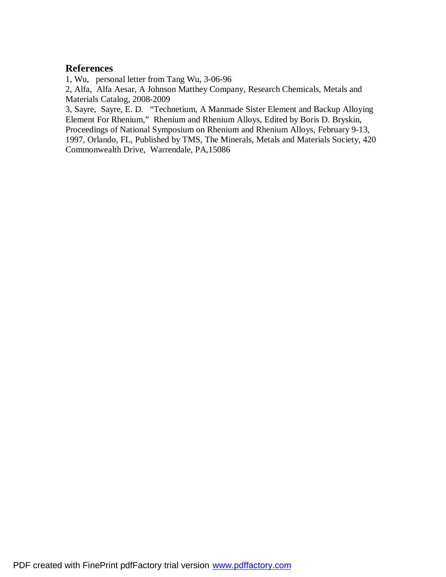### **References**

1, Wu, personal letter from Tang Wu, 3-06-96

2, Alfa, Alfa Aesar, A Johnson Matthey Company, Research Chemicals, Metals and Materials Catalog, 2008-2009

3, Sayre, Sayre, E. D. "Technetium, A Manmade Sister Element and Backup Alloying Element For Rhenium," Rhenium and Rhenium Alloys, Edited by Boris D. Bryskin, Proceedings of National Symposium on Rhenium and Rhenium Alloys, February 9-13, 1997, Orlando, FL, Published by TMS, The Minerals, Metals and Materials Society, 420 Commonwealth Drive, Warrendale, PA,15086